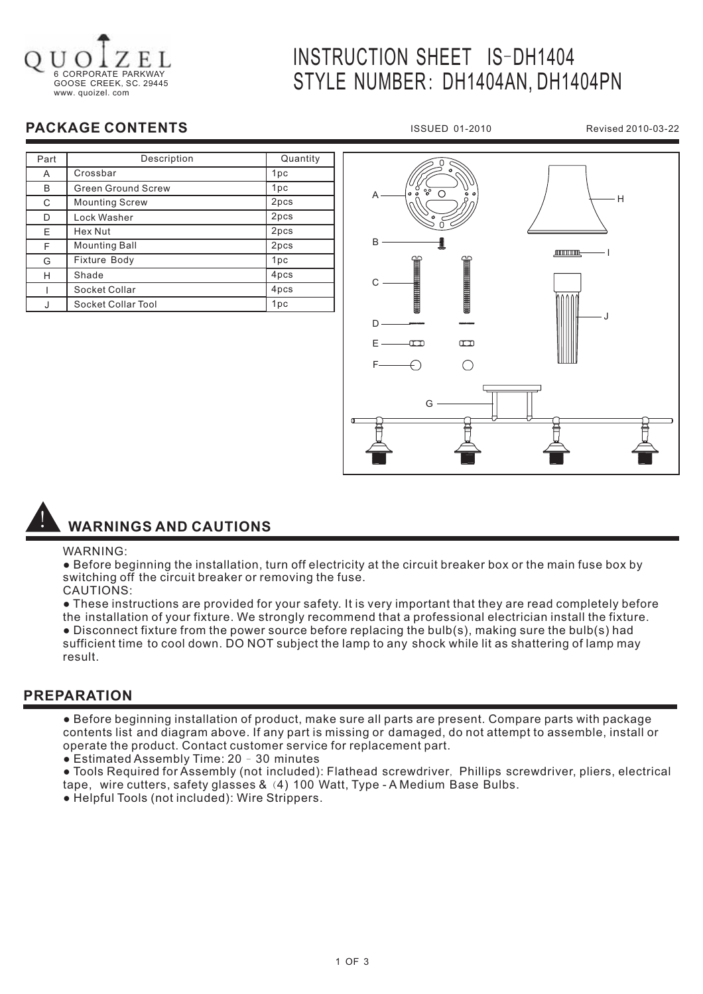

# INSTRUCTION SHEET IS-DH1404 STYLE NUMBER: DH1404AN, DH1404PN

### **PACKAGE CONTENTS**

| Part | Description               | Quantity        |
|------|---------------------------|-----------------|
| A    | Crossbar                  | 1pc             |
| в    | <b>Green Ground Screw</b> | 1pc             |
| C    | <b>Mounting Screw</b>     | 2pcs            |
| D    | Lock Washer               | 2pcs            |
| E    | Hex Nut                   | 2pcs            |
| F    | <b>Mounting Ball</b>      | 2pcs            |
| G    | Fixture Body              | 1 <sub>pc</sub> |
| н    | Shade                     | 4pcs            |
|      | Socket Collar             | 4pcs            |
|      | Socket Collar Tool        | 1pc             |



ISSUED 01-2010 Revised 2010-03-22

## ! **WARNINGS AND CAUTIONS**

#### WARNING:

● Before beginning the installation, turn off electricity at the circuit breaker box or the main fuse box by switching off the circuit breaker or removing the fuse.

- CAUTIONS:
- These instructions are provided for your safety. It is very important that they are read completely before the installation of your fixture. We strongly recommend that a professional electrician install the fixture.

● Disconnect fixture from the power source before replacing the bulb(s), making sure the bulb(s) had sufficient time to cool down. DO NOT subject the lamp to any shock while lit as shattering of lamp may result.

#### **PREPARATION**

- Before beginning installation of product, make sure all parts are present. Compare parts with package contents list and diagram above. If any part is missing or damaged, do not attempt to assemble, install or operate the product. Contact customer service for replacement part.
- Estimated Assembly Time: 20 30 minutes
- $\bullet$  Tools Required for Assembly (not included): Flathead screwdriver, Phillips screwdriver, pliers, electrical tape,wire cutters, safety glasses & (4) 100 Watt, Type - A Medium Base Bulbs.
- Helpful Tools (not included): Wire Strippers.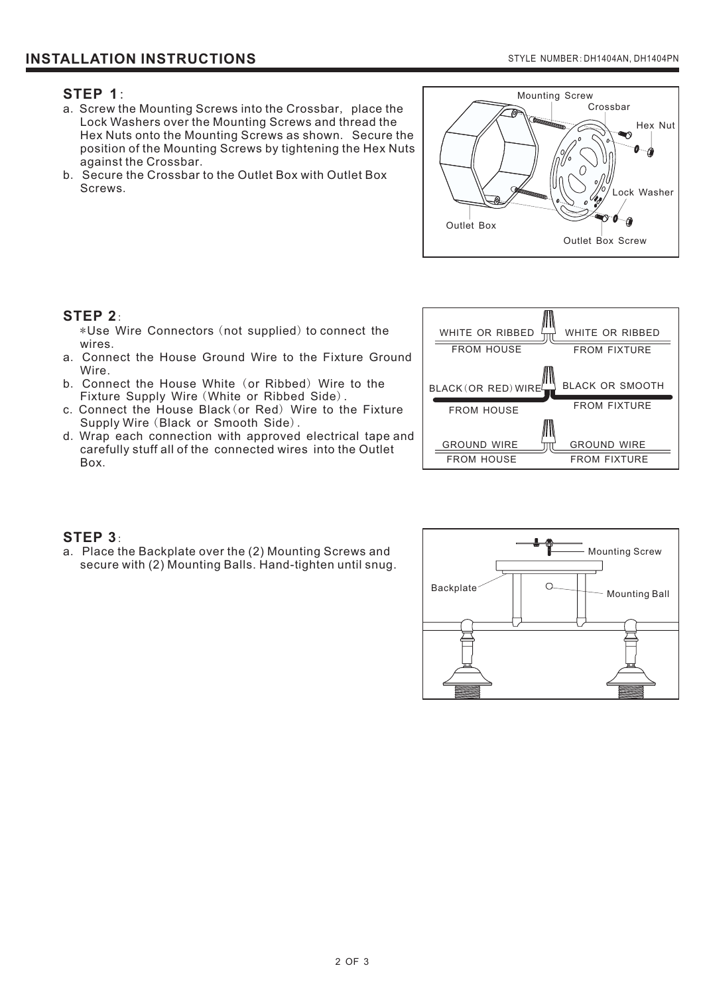#### **STEP 1**:

- a. Screw the Mounting Screws into the Crossbar, place the Lock Washers over the Mounting Screws and thread the Hex Nuts onto the Mounting Screws as shown. Secure the position of the Mounting Screws by tightening the Hex Nuts against the Crossbar .
- b. Secure the Crossbar to the Outlet Box with Outlet Box Screws .



#### **STEP 2**:

\*Use Wire Connectors (not supplied) to connect the . wires

- a. Connect the House Ground Wire to the Fixture Ground Wire.
- b. Connect the House White (or Ribbed) Wire to the Fixture Supply Wire (White or Ribbed Side).
- c. Connect the House Black (or Red) Wire to the Fixture Supply Wire (Black or Smooth Side).
- d. Wrap each connection with approved electrical tape and . Box carefully stuff all of the connected wires into the Outlet



#### **STEP 3**:

a. Place the Backplate over the (2) Mounting Screws and secure with (2) Mounting Balls. Hand-tighten until snug.